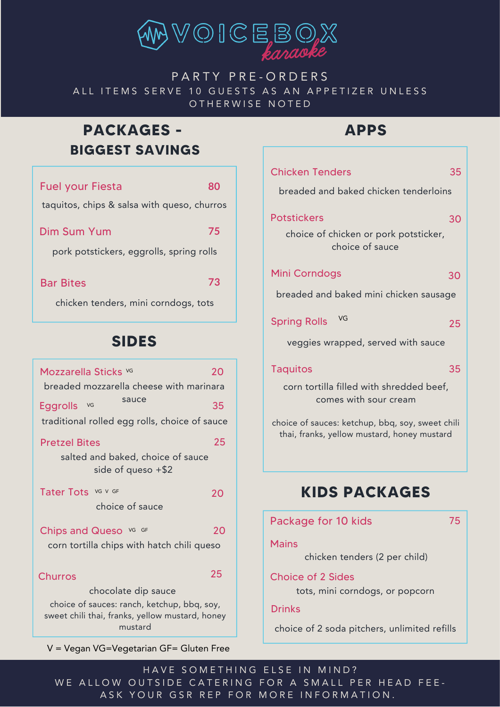

### PARTY PRE-ORDERS ALL ITEMS SERVE 10 GUESTS AS AN APPETIZER UNLESS OTHERWISE NOTED

## **PACKAGES - BIGGEST SAVINGS**

| <b>Fuel your Fiesta</b>                     | 80 |
|---------------------------------------------|----|
| taquitos, chips & salsa with queso, churros |    |
| Dim Sum Yum                                 | 75 |
| pork potstickers, eggrolls, spring rolls    |    |
| <b>Bar Bites</b>                            | 73 |
| chicken tenders, mini corndogs, tots        |    |
| <b>SIDES</b>                                |    |

| Mozzarella Sticks vG<br>breaded mozzarella cheese with marinara<br>sauce<br><b>Eggrolls</b><br>VG<br>traditional rolled egg rolls, choice of sauce | 20<br>35 |
|----------------------------------------------------------------------------------------------------------------------------------------------------|----------|
| <b>Pretzel Bites</b><br>salted and baked, choice of sauce<br>side of queso $+ $2$                                                                  | 25       |
| Tater Tots VG V GF<br>choice of sauce                                                                                                              | 20       |
| Chips and Queso vG GF<br>corn tortilla chips with hatch chili queso                                                                                | 20       |
| <b>Churros</b>                                                                                                                                     | 25       |
| chocolate dip sauce<br>choice of sauces: ranch, ketchup, bbq, soy,<br>sweet chili thai, franks, yellow mustard, honey<br>mustard                   |          |

V = Vegan VG=Vegetarian GF= Gluten Free

## **APPS**

| <b>Chicken Tenders</b>                                                                          | 35 |
|-------------------------------------------------------------------------------------------------|----|
| breaded and baked chicken tenderloins                                                           |    |
| <b>Potstickers</b>                                                                              | 30 |
| choice of chicken or pork potsticker,<br>choice of sauce                                        |    |
| <b>Mini Corndogs</b>                                                                            | 30 |
| breaded and baked mini chicken sausage                                                          |    |
| VG<br><b>Spring Rolls</b>                                                                       | 25 |
| veggies wrapped, served with sauce                                                              |    |
| <b>Taquitos</b>                                                                                 | 35 |
| corn tortilla filled with shredded beef,<br>comes with sour cream                               |    |
| choice of sauces: ketchup, bbq, soy, sweet chili<br>thai, franks, yellow mustard, honey mustard |    |
|                                                                                                 |    |
| <b>KIDS PACKAGES</b>                                                                            |    |
|                                                                                                 |    |
| Package for 10 kids                                                                             | 75 |
| <b>Mains</b><br>chicken tenders (2 per child)                                                   |    |
|                                                                                                 |    |
| <b>Choice of 2 Sides</b>                                                                        |    |

tots, mini corndogs, or popcorn

#### Drinks

choice of 2 soda pitchers, unlimited refills

HAVE SOMETHING ELSE IN MIND? WE ALLOW OUTSIDE CATERING FOR A SMALL PER HEAD FEE-ASK YOUR GSR REP FOR MORE INFORMATION.